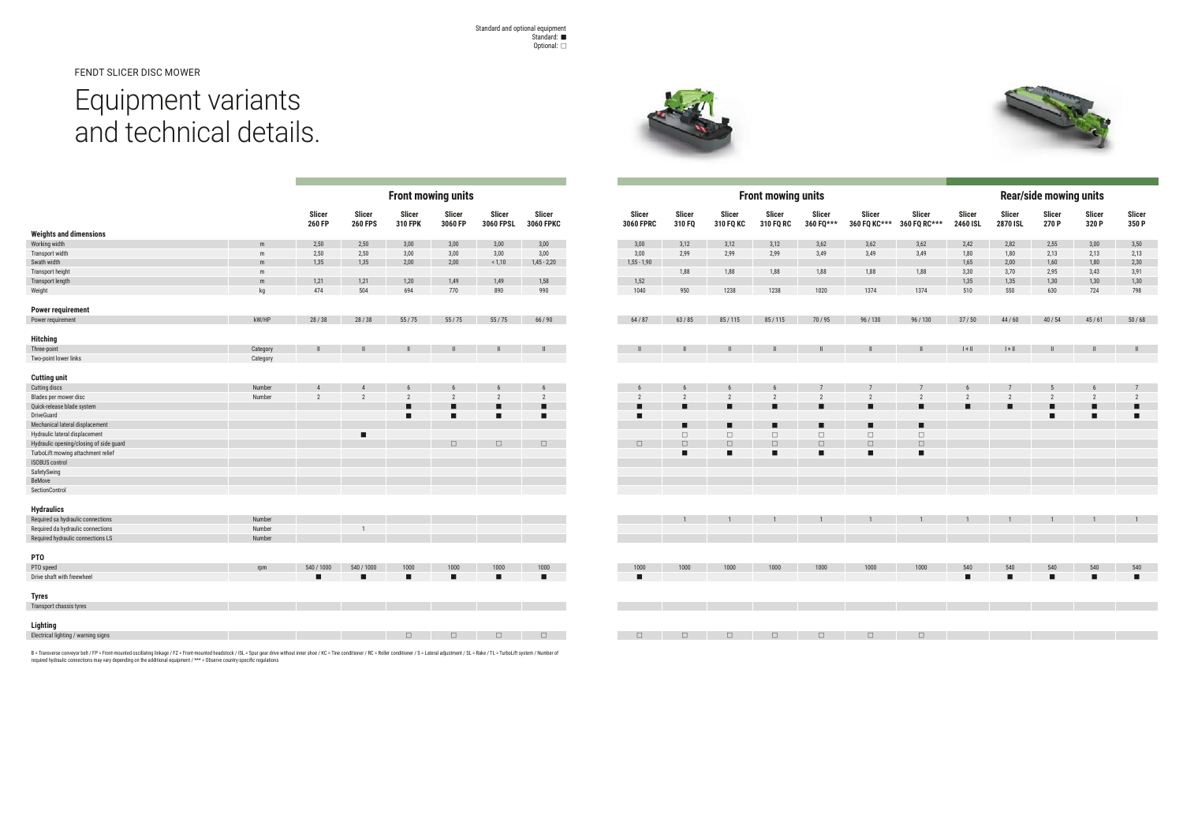FENDT SLICER DISC MOWER

## Equipment variants and technical details.



|                                                                        |                  | <b>Front mowing units</b> |                                                              |                                 |                                                                                                                                                                                                                                                                                                                                                                                                                              |                            |                            |  |
|------------------------------------------------------------------------|------------------|---------------------------|--------------------------------------------------------------|---------------------------------|------------------------------------------------------------------------------------------------------------------------------------------------------------------------------------------------------------------------------------------------------------------------------------------------------------------------------------------------------------------------------------------------------------------------------|----------------------------|----------------------------|--|
|                                                                        |                  | <b>Slicer</b><br>260 FP   | <b>Slicer</b><br><b>260 FPS</b>                              | <b>Slicer</b><br><b>310 FPK</b> | <b>Slicer</b><br>3060 FP                                                                                                                                                                                                                                                                                                                                                                                                     | <b>Slicer</b><br>3060 FPSL | <b>Slicer</b><br>3060 FPKC |  |
| <b>Weights and dimensions</b>                                          |                  |                           |                                                              |                                 |                                                                                                                                                                                                                                                                                                                                                                                                                              |                            |                            |  |
| Working width                                                          | m                | 2,50                      | 2,50                                                         | 3,00                            | 3,00                                                                                                                                                                                                                                                                                                                                                                                                                         | 3,00                       | 3,00                       |  |
| Transport width                                                        | ${\sf m}$        | 2,50                      | 2,50                                                         | 3,00                            | 3,00                                                                                                                                                                                                                                                                                                                                                                                                                         | 3,00                       | 3,00                       |  |
| Swath width                                                            | ${\sf m}$        | 1,35                      | 1,35                                                         | 2,00                            | 2,00                                                                                                                                                                                                                                                                                                                                                                                                                         | 1,10                       | $1,45 - 2,20$              |  |
| Transport height                                                       | m                |                           |                                                              |                                 |                                                                                                                                                                                                                                                                                                                                                                                                                              |                            |                            |  |
| Transport length                                                       | m                | 1,21                      | 1,21                                                         | 1,20                            | 1,49                                                                                                                                                                                                                                                                                                                                                                                                                         | 1,49                       | 1,58                       |  |
| Weight                                                                 | kg               | 474                       | 504                                                          | 694                             | 770                                                                                                                                                                                                                                                                                                                                                                                                                          | 890                        | 990                        |  |
| <b>Power requirement</b>                                               |                  |                           |                                                              |                                 |                                                                                                                                                                                                                                                                                                                                                                                                                              |                            |                            |  |
| Power requirement                                                      | kW/HP            | 28/38                     | 28/38                                                        | 55/75                           | 55/75                                                                                                                                                                                                                                                                                                                                                                                                                        | 55/75                      | 66 / 90                    |  |
|                                                                        |                  |                           |                                                              |                                 |                                                                                                                                                                                                                                                                                                                                                                                                                              |                            |                            |  |
| <b>Hitching</b>                                                        |                  |                           |                                                              |                                 |                                                                                                                                                                                                                                                                                                                                                                                                                              |                            |                            |  |
| Three-point                                                            | Category         | $\mathsf{I}$              | $\label{eq:1} \prod_{i=1}^n \alpha_i \prod_{i=1}^n \alpha_i$ | $\parallel$                     | $\label{eq:1} \prod_{i=1}^n \alpha_i \, \prod_{i=1}^n \alpha_i \, \prod_{i=1}^n \alpha_i \, \prod_{i=1}^n \alpha_i \, \prod_{i=1}^n \alpha_i \, \prod_{i=1}^n \alpha_i \, \prod_{i=1}^n \alpha_i \, \prod_{i=1}^n \alpha_i \, \prod_{i=1}^n \alpha_i \, \prod_{i=1}^n \alpha_i \, \prod_{i=1}^n \alpha_i \, \prod_{i=1}^n \alpha_i \, \prod_{i=1}^n \alpha_i \, \prod_{i=1}^n \alpha_i \, \prod_{i=1}^n \alpha_i \, \prod_{$ | $\ensuremath{\mathsf{II}}$ | $\,$ II                    |  |
| Two-point lower links                                                  | Category         |                           |                                                              |                                 |                                                                                                                                                                                                                                                                                                                                                                                                                              |                            |                            |  |
| <b>Cutting unit</b>                                                    |                  |                           |                                                              |                                 |                                                                                                                                                                                                                                                                                                                                                                                                                              |                            |                            |  |
| <b>Cutting discs</b>                                                   | Number           | $\overline{4}$            | $\overline{4}$                                               | $6\phantom{1}$                  | $6\phantom{.}$                                                                                                                                                                                                                                                                                                                                                                                                               | $6\phantom{1}$             | $6\phantom{1}$             |  |
| Blades per mower disc                                                  | Number           | $\overline{2}$            | $\overline{2}$                                               | $\overline{2}$                  | $\overline{2}$                                                                                                                                                                                                                                                                                                                                                                                                               | $\overline{2}$             | $\overline{2}$             |  |
| Quick-release blade system                                             |                  |                           |                                                              | □                               |                                                                                                                                                                                                                                                                                                                                                                                                                              |                            | ■                          |  |
| DriveGuard                                                             |                  |                           |                                                              | ■                               | П                                                                                                                                                                                                                                                                                                                                                                                                                            | ■                          | ■                          |  |
| Mechanical lateral displacement                                        |                  |                           |                                                              |                                 |                                                                                                                                                                                                                                                                                                                                                                                                                              |                            |                            |  |
| Hydraulic lateral displacement                                         |                  |                           | п                                                            |                                 |                                                                                                                                                                                                                                                                                                                                                                                                                              |                            |                            |  |
| Hydraulic opening/closing of side guard                                |                  |                           |                                                              |                                 | $\Box$                                                                                                                                                                                                                                                                                                                                                                                                                       | $\Box$                     | $\Box$                     |  |
| TurboLift mowing attachment relief                                     |                  |                           |                                                              |                                 |                                                                                                                                                                                                                                                                                                                                                                                                                              |                            |                            |  |
| <b>ISOBUS control</b>                                                  |                  |                           |                                                              |                                 |                                                                                                                                                                                                                                                                                                                                                                                                                              |                            |                            |  |
| SafetySwing                                                            |                  |                           |                                                              |                                 |                                                                                                                                                                                                                                                                                                                                                                                                                              |                            |                            |  |
| <b>BeMove</b>                                                          |                  |                           |                                                              |                                 |                                                                                                                                                                                                                                                                                                                                                                                                                              |                            |                            |  |
| SectionControl                                                         |                  |                           |                                                              |                                 |                                                                                                                                                                                                                                                                                                                                                                                                                              |                            |                            |  |
|                                                                        |                  |                           |                                                              |                                 |                                                                                                                                                                                                                                                                                                                                                                                                                              |                            |                            |  |
| <b>Hydraulics</b>                                                      |                  |                           |                                                              |                                 |                                                                                                                                                                                                                                                                                                                                                                                                                              |                            |                            |  |
| Required sa hydraulic connections                                      | Number<br>Number |                           |                                                              |                                 |                                                                                                                                                                                                                                                                                                                                                                                                                              |                            |                            |  |
| Required da hydraulic connections<br>Required hydraulic connections LS | Number           |                           | $\mathbf{1}$                                                 |                                 |                                                                                                                                                                                                                                                                                                                                                                                                                              |                            |                            |  |
|                                                                        |                  |                           |                                                              |                                 |                                                                                                                                                                                                                                                                                                                                                                                                                              |                            |                            |  |
| PT <sub>0</sub>                                                        |                  |                           |                                                              |                                 |                                                                                                                                                                                                                                                                                                                                                                                                                              |                            |                            |  |
| PTO speed                                                              | rpm              | 540 / 1000                | 540 / 1000                                                   | 1000                            | 1000                                                                                                                                                                                                                                                                                                                                                                                                                         | 1000                       | 1000                       |  |
| Drive shaft with freewheel                                             |                  | ■                         | ■                                                            | п                               | п                                                                                                                                                                                                                                                                                                                                                                                                                            | п                          | ■                          |  |
| <b>Tyres</b>                                                           |                  |                           |                                                              |                                 |                                                                                                                                                                                                                                                                                                                                                                                                                              |                            |                            |  |
| Transport chassis tyres                                                |                  |                           |                                                              |                                 |                                                                                                                                                                                                                                                                                                                                                                                                                              |                            |                            |  |
| <b>Lighting</b>                                                        |                  |                           |                                                              |                                 |                                                                                                                                                                                                                                                                                                                                                                                                                              |                            |                            |  |

| Lignting                                                                   |  |  |  |
|----------------------------------------------------------------------------|--|--|--|
| the property of the property of the<br>Electrical lighting / warning signs |  |  |  |
|                                                                            |  |  |  |

B = Transverse conveyor belt / FP = Front-mounted oscillating linkage / FZ = Front-mounted headstock / ISL = Spur gear drive without inner shoe / KC = Tine conditioner / RC = Roller conditioner / S = Lateral adjustment / S

| <b>Front mowing units</b>        |                         |                                   |                                   |                            |                                   |                                   |                         |                                  | <b>Rear/side mowing units</b>     |                                  |                              |
|----------------------------------|-------------------------|-----------------------------------|-----------------------------------|----------------------------|-----------------------------------|-----------------------------------|-------------------------|----------------------------------|-----------------------------------|----------------------------------|------------------------------|
| Slicer<br><b>3060 FPRC</b>       | Slicer<br>310 FQ        | Slicer<br>310 FQ KC               | Slicer<br>310 FQ RC               | <b>Slicer</b><br>360 FQ*** | Slicer<br>360 FQ KC***            | Slicer<br>360 FQ RC***            | Slicer<br>2460 ISL      | Slicer<br>2870 ISL               | Slicer<br>270 P                   | <b>Slicer</b><br>320 P           | <b>Slicer</b><br>350 P       |
| 3,00                             | 3,12                    | 3,12                              | 3,12                              | 3,62                       | 3,62                              | 3,62                              | 2,42                    | 2,82                             | 2,55                              | 3,00                             | 3,50                         |
| 3,00                             | 2,99                    | 2,99                              | 2,99                              | 3,49                       | 3,49                              | 3,49                              | 1,80                    | 1,80                             | 2,13                              | 2,13                             | 2,13                         |
| $1,55 - 1,90$                    |                         |                                   |                                   |                            |                                   |                                   | 1,65                    | 2,00                             | 1,60                              | $1,80$                           | 2,30                         |
|                                  | 1,88                    | 1,88                              | 1,88                              | 1,88                       | 1,88                              | 1,88                              | 3,30                    | 3,70                             | 2,95                              | 3,43                             | 3,91                         |
| 1,52                             | 950                     | 1238                              | 1238                              | 1020                       | 1374                              | 1374                              | 1,35<br>510             | 1,35                             | 1,30                              | 1,30<br>724                      | $1,30$<br>798                |
| 1040                             |                         |                                   |                                   |                            |                                   |                                   |                         | 550                              | 630                               |                                  |                              |
| 64/87                            | 63/85                   | 85/115                            | 85/115                            | 70/95                      | 96/130                            | 96 / 130                          | $37/50$                 | $44/60$                          | 40/54                             | 45/61                            | $50/68$                      |
| $\, \parallel$                   | $\,$ II                 | $\parallel$                       | $\ensuremath{\mathsf{II}}\xspace$ | $\parallel$                | $\, \parallel$                    | $\parallel$                       | $\vert + \vert \vert$   | $\parallel + \parallel$          | $\parallel$                       | $\parallel$                      | $\, \parallel$               |
|                                  |                         |                                   |                                   |                            |                                   |                                   |                         |                                  |                                   |                                  |                              |
|                                  |                         |                                   |                                   |                            |                                   |                                   |                         |                                  |                                   |                                  |                              |
| $6\phantom{1}$<br>$\overline{2}$ | $6\,$<br>$\overline{2}$ | $6\overline{6}$<br>$\overline{2}$ | $6\phantom{.0}$<br>$\overline{2}$ | $\sqrt{7}$<br>$\sqrt{2}$   | $7\overline{ }$<br>$\overline{2}$ | $7\overline{ }$<br>$\overline{2}$ | $6\,$<br>$\overline{2}$ | $\overline{7}$<br>$\overline{2}$ | $5\phantom{.0}$<br>$\overline{2}$ | $6\phantom{a}$<br>$\overline{2}$ | $\overline{7}$<br>$\sqrt{2}$ |
| п                                | п                       | ■                                 | ■                                 | П                          | ■                                 | ■                                 | п                       | ■                                | □                                 | П                                | п                            |
| п                                |                         |                                   |                                   |                            |                                   |                                   |                         |                                  | п                                 | ■                                | п                            |
|                                  | ■                       | п                                 | ■                                 | п                          | ■                                 | ■                                 |                         |                                  |                                   |                                  |                              |
|                                  | $\Box$                  | $\Box$                            | $\Box$                            | $\Box$                     | $\Box$                            | $\Box$                            |                         |                                  |                                   |                                  |                              |
| $\Box$                           | $\Box$                  | $\Box$                            | $\Box$                            | $\Box$                     | $\Box$                            | $\square$                         |                         |                                  |                                   |                                  |                              |
|                                  | п                       | п                                 | п                                 | п                          | п                                 | п                                 |                         |                                  |                                   |                                  |                              |
|                                  |                         |                                   |                                   |                            |                                   |                                   |                         |                                  |                                   |                                  |                              |
|                                  |                         |                                   |                                   |                            |                                   |                                   |                         |                                  |                                   |                                  |                              |
|                                  |                         |                                   |                                   |                            |                                   |                                   |                         |                                  |                                   |                                  |                              |
|                                  |                         |                                   |                                   |                            |                                   |                                   |                         |                                  |                                   |                                  |                              |
|                                  |                         |                                   |                                   |                            |                                   |                                   |                         |                                  |                                   |                                  |                              |
|                                  |                         | $\mathbf{1}$                      | $\mathbf{1}$                      | $\mathbf{1}$               |                                   |                                   |                         | $\mathbf{1}$                     |                                   | $\mathbf{1}$                     |                              |
|                                  |                         |                                   |                                   |                            |                                   |                                   |                         |                                  |                                   |                                  |                              |
|                                  |                         |                                   |                                   |                            |                                   |                                   |                         |                                  |                                   |                                  |                              |
|                                  |                         |                                   |                                   |                            |                                   |                                   |                         |                                  |                                   |                                  |                              |
| 1000                             | $1000\,$                | $1000\,$                          | 1000                              | 1000                       | 1000                              | $1000\,$                          | $540\,$                 | $540\,$                          | 540                               | 540                              | 540                          |
| ■                                |                         |                                   |                                   |                            |                                   |                                   | п                       | п                                | п                                 | п                                | п                            |
|                                  |                         |                                   |                                   |                            |                                   |                                   |                         |                                  |                                   |                                  |                              |
|                                  |                         |                                   |                                   |                            |                                   |                                   |                         |                                  |                                   |                                  |                              |
|                                  |                         |                                   |                                   |                            |                                   |                                   |                         |                                  |                                   |                                  |                              |
|                                  |                         |                                   |                                   |                            |                                   |                                   |                         |                                  |                                   |                                  |                              |

| <b>Front mowing units</b>  |                            |                     |                     |                            |                            |                        |                           |                       | <b>Rear/side mowing units</b> |                 |                        |
|----------------------------|----------------------------|---------------------|---------------------|----------------------------|----------------------------|------------------------|---------------------------|-----------------------|-------------------------------|-----------------|------------------------|
| Slicer<br><b>3060 FPRC</b> | Slicer<br>310 FQ           | Slicer<br>310 FQ KC | Slicer<br>310 FQ RC | <b>Slicer</b><br>360 FQ*** | Slicer<br>360 FQ KC***     | Slicer<br>360 FQ RC*** | <b>Slicer</b><br>2460 ISL | Slicer<br>2870 ISL    | Slicer<br>270 P               | Slicer<br>320 P | <b>Slicer</b><br>350 P |
| $3,00$                     | 3,12                       | 3,12                | 3,12                | 3,62                       | 3,62                       | 3,62                   | 2,42                      | 2,82                  | 2,55                          | 3,00            | 3,50                   |
| 3,00                       | 2,99                       | 2,99                | 2,99                | 3,49                       | 3,49                       | 3,49                   | 1,80                      | 1,80                  | 2,13                          | 2,13            | 2,13                   |
| $1,55 - 1,90$              |                            |                     |                     |                            |                            |                        | 1,65                      | 2,00                  | 1,60                          | 1,80            | 2,30                   |
|                            | 1,88                       | 1,88                | 1,88                | 1,88                       | 1,88                       | 1,88                   | 3,30                      | 3,70                  | 2,95                          | 3,43            | 3,91                   |
| 1,52                       |                            |                     |                     |                            |                            |                        | 1,35                      | 1,35                  | 1,30                          | 1,30            | 1,30                   |
| 1040                       | $950\,$                    | 1238                | 1238                | 1020                       | 1374                       | 1374                   | $510\,$                   | 550                   | 630                           | 724             | 798                    |
|                            |                            |                     |                     |                            |                            |                        |                           |                       |                               |                 |                        |
| $64/87$                    | $63/85$                    | 85/115              | 85/115              | 70/95                      | 96/130                     | 96 / 130               | $37\ / \ 50$              | $44/60$               | $40/54$                       | $45/61$         | $50/68$                |
|                            |                            |                     |                     |                            |                            |                        |                           |                       |                               |                 |                        |
| $\ensuremath{\mathsf{II}}$ | $\ensuremath{\mathsf{II}}$ | $\mathbf{I}$        | $\, \parallel$      | $\ensuremath{\mathsf{II}}$ | $\ensuremath{\mathsf{II}}$ | $\, \parallel$         | $\vert + \vert \vert$     | $\vert + \vert \vert$ | $\,$ $\,$ $\,$ $\,$           | $\parallel$     | $\, \parallel$         |
|                            |                            |                     |                     |                            |                            |                        |                           |                       |                               |                 |                        |
|                            |                            |                     |                     |                            |                            |                        |                           |                       |                               |                 |                        |
| $\boldsymbol{6}$           | $\boldsymbol{6}$           | $6\phantom{1}$      | $\boldsymbol{6}$    | $\sqrt{ }$                 | $\overline{7}$             | $\overline{7}$         | $6\,$                     | $\overline{7}$        | $\sqrt{5}$                    | $6\phantom{.0}$ | $\overline{7}$         |
| $\overline{2}$             | $\sqrt{2}$                 | $\sqrt{2}$          | $\sqrt{2}$          | $\overline{2}$             | $\sqrt{2}$                 | $\sqrt{2}$             | $\sqrt{2}$                | $\overline{2}$        | $\sqrt{2}$                    | $\overline{2}$  | $\sqrt{2}$             |
|                            | $\blacksquare$             | п                   | $\blacksquare$      | п                          | ■                          | $\blacksquare$         | п                         | п                     | ∎                             | ■               | ■                      |
| п                          |                            |                     |                     |                            |                            |                        |                           |                       | П                             | ■               | п                      |
|                            | п                          | п                   | ■                   | п                          | ■                          | п                      |                           |                       |                               |                 |                        |
|                            | $\Box$                     | $\Box$              | $\Box$              | $\Box$                     | $\Box$                     | $\Box$                 |                           |                       |                               |                 |                        |
| $\Box$                     | $\Box$                     | $\Box$              | $\Box$              | $\Box$                     | $\Box$                     | $\Box$                 |                           |                       |                               |                 |                        |
|                            | $\blacksquare$             | $\blacksquare$      | $\blacksquare$      | п                          | $\blacksquare$             | п                      |                           |                       |                               |                 |                        |
|                            |                            |                     |                     |                            |                            |                        |                           |                       |                               |                 |                        |
|                            |                            |                     |                     |                            |                            |                        |                           |                       |                               |                 |                        |
|                            |                            |                     |                     |                            |                            |                        |                           |                       |                               |                 |                        |
|                            |                            |                     |                     |                            |                            |                        |                           |                       |                               |                 |                        |
|                            |                            |                     |                     |                            |                            |                        |                           |                       |                               |                 |                        |
|                            | $\mathbf{1}$               |                     | $\mathbf{1}$        | $\mathbf{1}$               | $\mathbf{1}$               | $\mathbf{1}$           | $\overline{1}$            | $\mathbf{1}$          |                               |                 | $\mathbf{1}$           |
|                            |                            |                     |                     |                            |                            |                        |                           |                       |                               |                 |                        |
|                            |                            |                     |                     |                            |                            |                        |                           |                       |                               |                 |                        |
|                            |                            |                     |                     |                            |                            |                        |                           |                       |                               |                 |                        |
|                            |                            |                     |                     |                            |                            |                        |                           |                       |                               |                 |                        |
| 1000                       | 1000                       | 1000                | 1000                | 1000                       | 1000                       | 1000                   | 540                       | 540                   | 540                           | 540             | 540                    |
| п                          |                            |                     |                     |                            |                            |                        | п                         | $\blacksquare$        | п                             | п               | п                      |
|                            |                            |                     |                     |                            |                            |                        |                           |                       |                               |                 |                        |
|                            |                            |                     |                     |                            |                            |                        |                           |                       |                               |                 |                        |
|                            |                            |                     |                     |                            |                            |                        |                           |                       |                               |                 |                        |
|                            |                            |                     |                     |                            |                            |                        |                           |                       |                               |                 |                        |
| $\Box$                     | $\Box$                     | $\Box$              | $\Box$              | $\Box$                     | $\Box$                     | $\Box$                 |                           |                       |                               |                 |                        |